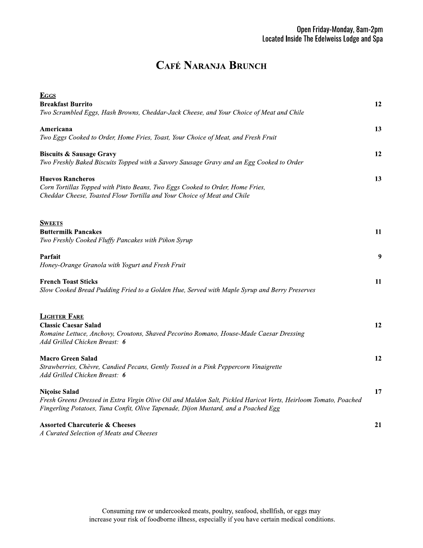## **CAFÉ NARANJA BRUNCH**

| <b>EGGS</b>                                                                                                     |    |
|-----------------------------------------------------------------------------------------------------------------|----|
| <b>Breakfast Burrito</b>                                                                                        | 12 |
| Two Scrambled Eggs, Hash Browns, Cheddar-Jack Cheese, and Your Choice of Meat and Chile                         |    |
| Americana                                                                                                       | 13 |
| Two Eggs Cooked to Order, Home Fries, Toast, Your Choice of Meat, and Fresh Fruit                               |    |
| <b>Biscuits &amp; Sausage Gravy</b>                                                                             | 12 |
| Two Freshly Baked Biscuits Topped with a Savory Sausage Gravy and an Egg Cooked to Order                        |    |
| <b>Huevos Rancheros</b>                                                                                         | 13 |
| Corn Tortillas Topped with Pinto Beans, Two Eggs Cooked to Order, Home Fries,                                   |    |
| Cheddar Cheese, Toasted Flour Tortilla and Your Choice of Meat and Chile                                        |    |
|                                                                                                                 |    |
| <b>SWEETS</b>                                                                                                   |    |
| <b>Buttermilk Pancakes</b>                                                                                      | 11 |
| Two Freshly Cooked Fluffy Pancakes with Piñon Syrup                                                             |    |
| Parfait                                                                                                         | 9  |
| Honey-Orange Granola with Yogurt and Fresh Fruit                                                                |    |
| <b>French Toast Sticks</b>                                                                                      | 11 |
| Slow Cooked Bread Pudding Fried to a Golden Hue, Served with Maple Syrup and Berry Preserves                    |    |
|                                                                                                                 |    |
| <b>LIGHTER FARE</b>                                                                                             |    |
| <b>Classic Caesar Salad</b>                                                                                     | 12 |
| Romaine Lettuce, Anchovy, Croutons, Shaved Pecorino Romano, House-Made Caesar Dressing                          |    |
| Add Grilled Chicken Breast: 6                                                                                   |    |
| <b>Macro Green Salad</b>                                                                                        | 12 |
| Strawberries, Chèvre, Candied Pecans, Gently Tossed in a Pink Peppercorn Vinaigrette                            |    |
| Add Grilled Chicken Breast: 6                                                                                   |    |
| <b>Niçoise Salad</b>                                                                                            | 17 |
| Fresh Greens Dressed in Extra Virgin Olive Oil and Maldon Salt, Pickled Haricot Verts, Heirloom Tomato, Poached |    |
| Fingerling Potatoes, Tuna Confit, Olive Tapenade, Dijon Mustard, and a Poached Egg                              |    |
| <b>Assorted Charcuterie &amp; Cheeses</b>                                                                       | 21 |
| A Curated Selection of Meats and Cheeses                                                                        |    |